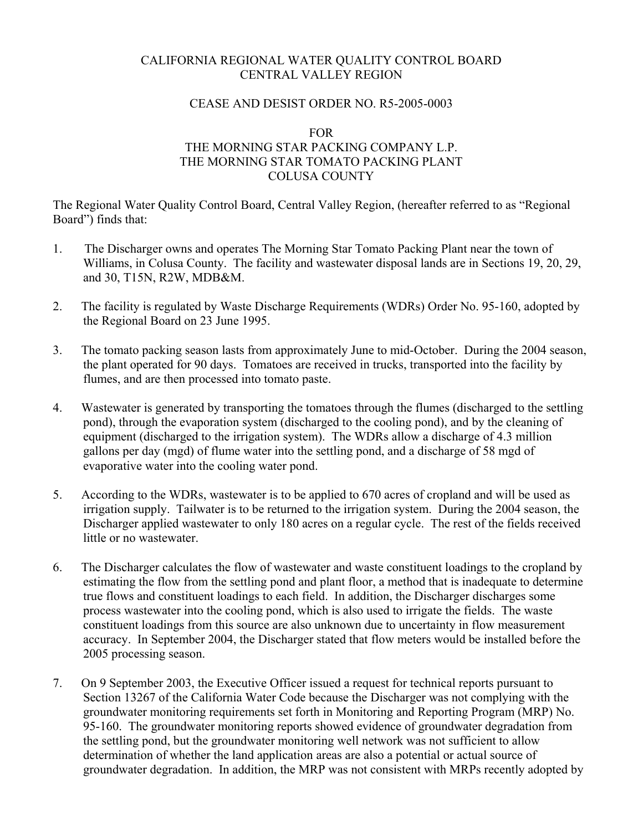# CALIFORNIA REGIONAL WATER QUALITY CONTROL BOARD CENTRAL VALLEY REGION

### CEASE AND DESIST ORDER NO. R5-2005-0003

#### FOR

# THE MORNING STAR PACKING COMPANY L.P. THE MORNING STAR TOMATO PACKING PLANT COLUSA COUNTY

The Regional Water Quality Control Board, Central Valley Region, (hereafter referred to as "Regional Board") finds that:

- 1. The Discharger owns and operates The Morning Star Tomato Packing Plant near the town of Williams, in Colusa County. The facility and wastewater disposal lands are in Sections 19, 20, 29, and 30, T15N, R2W, MDB&M.
- 2. The facility is regulated by Waste Discharge Requirements (WDRs) Order No. 95-160, adopted by the Regional Board on 23 June 1995.
- 3. The tomato packing season lasts from approximately June to mid-October. During the 2004 season, the plant operated for 90 days. Tomatoes are received in trucks, transported into the facility by flumes, and are then processed into tomato paste.
- 4. Wastewater is generated by transporting the tomatoes through the flumes (discharged to the settling pond), through the evaporation system (discharged to the cooling pond), and by the cleaning of equipment (discharged to the irrigation system). The WDRs allow a discharge of 4.3 million gallons per day (mgd) of flume water into the settling pond, and a discharge of 58 mgd of evaporative water into the cooling water pond.
- 5. According to the WDRs, wastewater is to be applied to 670 acres of cropland and will be used as irrigation supply. Tailwater is to be returned to the irrigation system. During the 2004 season, the Discharger applied wastewater to only 180 acres on a regular cycle. The rest of the fields received little or no wastewater.
- 6. The Discharger calculates the flow of wastewater and waste constituent loadings to the cropland by estimating the flow from the settling pond and plant floor, a method that is inadequate to determine true flows and constituent loadings to each field. In addition, the Discharger discharges some process wastewater into the cooling pond, which is also used to irrigate the fields. The waste constituent loadings from this source are also unknown due to uncertainty in flow measurement accuracy. In September 2004, the Discharger stated that flow meters would be installed before the 2005 processing season.
- 7. On 9 September 2003, the Executive Officer issued a request for technical reports pursuant to Section 13267 of the California Water Code because the Discharger was not complying with the groundwater monitoring requirements set forth in Monitoring and Reporting Program (MRP) No. 95-160. The groundwater monitoring reports showed evidence of groundwater degradation from the settling pond, but the groundwater monitoring well network was not sufficient to allow determination of whether the land application areas are also a potential or actual source of groundwater degradation. In addition, the MRP was not consistent with MRPs recently adopted by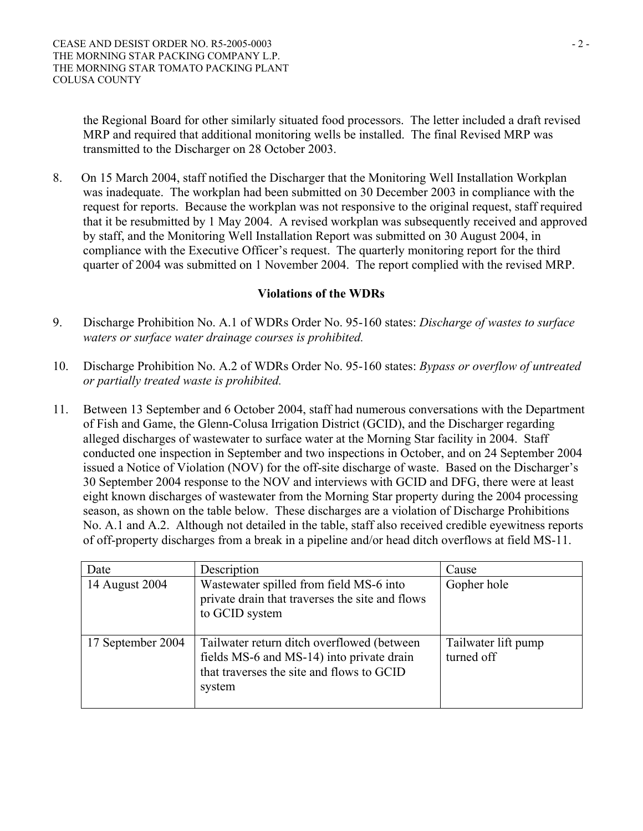the Regional Board for other similarly situated food processors. The letter included a draft revised MRP and required that additional monitoring wells be installed. The final Revised MRP was transmitted to the Discharger on 28 October 2003.

8. On 15 March 2004, staff notified the Discharger that the Monitoring Well Installation Workplan was inadequate. The workplan had been submitted on 30 December 2003 in compliance with the request for reports. Because the workplan was not responsive to the original request, staff required that it be resubmitted by 1 May 2004. A revised workplan was subsequently received and approved by staff, and the Monitoring Well Installation Report was submitted on 30 August 2004, in compliance with the Executive Officer's request. The quarterly monitoring report for the third quarter of 2004 was submitted on 1 November 2004. The report complied with the revised MRP.

# **Violations of the WDRs**

- 9. Discharge Prohibition No. A.1 of WDRs Order No. 95-160 states: *Discharge of wastes to surface waters or surface water drainage courses is prohibited.*
- 10. Discharge Prohibition No. A.2 of WDRs Order No. 95-160 states: *Bypass or overflow of untreated or partially treated waste is prohibited.*
- 11. Between 13 September and 6 October 2004, staff had numerous conversations with the Department of Fish and Game, the Glenn-Colusa Irrigation District (GCID), and the Discharger regarding alleged discharges of wastewater to surface water at the Morning Star facility in 2004. Staff conducted one inspection in September and two inspections in October, and on 24 September 2004 issued a Notice of Violation (NOV) for the off-site discharge of waste. Based on the Discharger's 30 September 2004 response to the NOV and interviews with GCID and DFG, there were at least eight known discharges of wastewater from the Morning Star property during the 2004 processing season, as shown on the table below. These discharges are a violation of Discharge Prohibitions No. A.1 and A.2. Although not detailed in the table, staff also received credible eyewitness reports of off-property discharges from a break in a pipeline and/or head ditch overflows at field MS-11.

| Date              | Description                                                                                                                                    | Cause                             |
|-------------------|------------------------------------------------------------------------------------------------------------------------------------------------|-----------------------------------|
| 14 August 2004    | Wastewater spilled from field MS-6 into<br>private drain that traverses the site and flows<br>to GCID system                                   | Gopher hole                       |
| 17 September 2004 | Tailwater return ditch overflowed (between<br>fields MS-6 and MS-14) into private drain<br>that traverses the site and flows to GCID<br>system | Tailwater lift pump<br>turned off |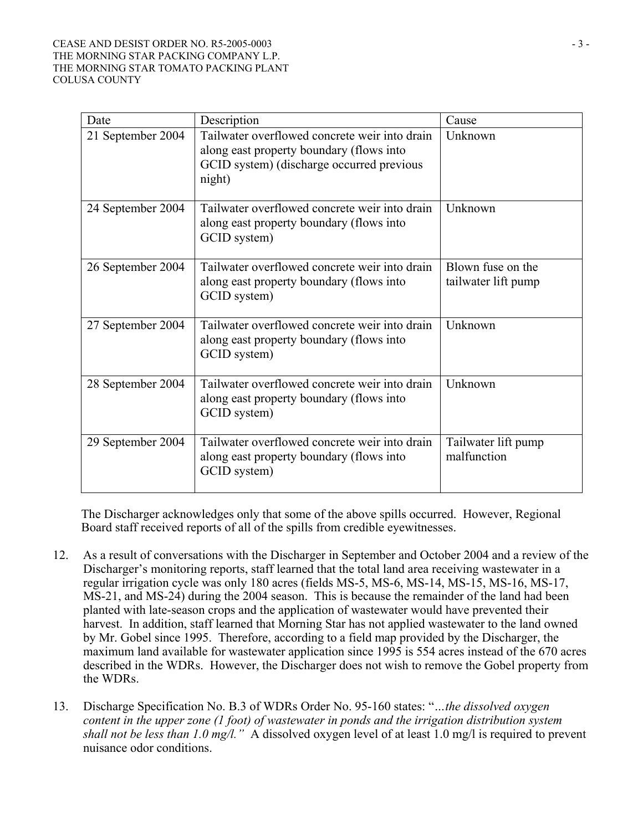### CEASE AND DESIST ORDER NO. R5-2005-0003 - 3 - 3 THE MORNING STAR PACKING COMPANY L.P. THE MORNING STAR TOMATO PACKING PLANT COLUSA COUNTY

| Date              | Description                                                                                                                                      | Cause                                    |
|-------------------|--------------------------------------------------------------------------------------------------------------------------------------------------|------------------------------------------|
| 21 September 2004 | Tailwater overflowed concrete weir into drain<br>along east property boundary (flows into<br>GCID system) (discharge occurred previous<br>night) | Unknown                                  |
| 24 September 2004 | Tailwater overflowed concrete weir into drain<br>along east property boundary (flows into<br>GCID system)                                        | Unknown                                  |
| 26 September 2004 | Tailwater overflowed concrete weir into drain<br>along east property boundary (flows into<br>GCID system)                                        | Blown fuse on the<br>tailwater lift pump |
| 27 September 2004 | Tailwater overflowed concrete weir into drain<br>along east property boundary (flows into<br>GCID system)                                        | Unknown                                  |
| 28 September 2004 | Tailwater overflowed concrete weir into drain<br>along east property boundary (flows into<br>GCID system)                                        | Unknown                                  |
| 29 September 2004 | Tailwater overflowed concrete weir into drain<br>along east property boundary (flows into<br>GCID system)                                        | Tailwater lift pump<br>malfunction       |

The Discharger acknowledges only that some of the above spills occurred. However, Regional Board staff received reports of all of the spills from credible eyewitnesses.

- 12. As a result of conversations with the Discharger in September and October 2004 and a review of the Discharger's monitoring reports, staff learned that the total land area receiving wastewater in a regular irrigation cycle was only 180 acres (fields MS-5, MS-6, MS-14, MS-15, MS-16, MS-17, MS-21, and MS-24) during the 2004 season. This is because the remainder of the land had been planted with late-season crops and the application of wastewater would have prevented their harvest. In addition, staff learned that Morning Star has not applied wastewater to the land owned by Mr. Gobel since 1995. Therefore, according to a field map provided by the Discharger, the maximum land available for wastewater application since 1995 is 554 acres instead of the 670 acres described in the WDRs. However, the Discharger does not wish to remove the Gobel property from the WDRs.
- 13. Discharge Specification No. B.3 of WDRs Order No. 95-160 states: "*…the dissolved oxygen content in the upper zone (1 foot) of wastewater in ponds and the irrigation distribution system shall not be less than 1.0 mg/l."* A dissolved oxygen level of at least 1.0 mg/l is required to prevent nuisance odor conditions.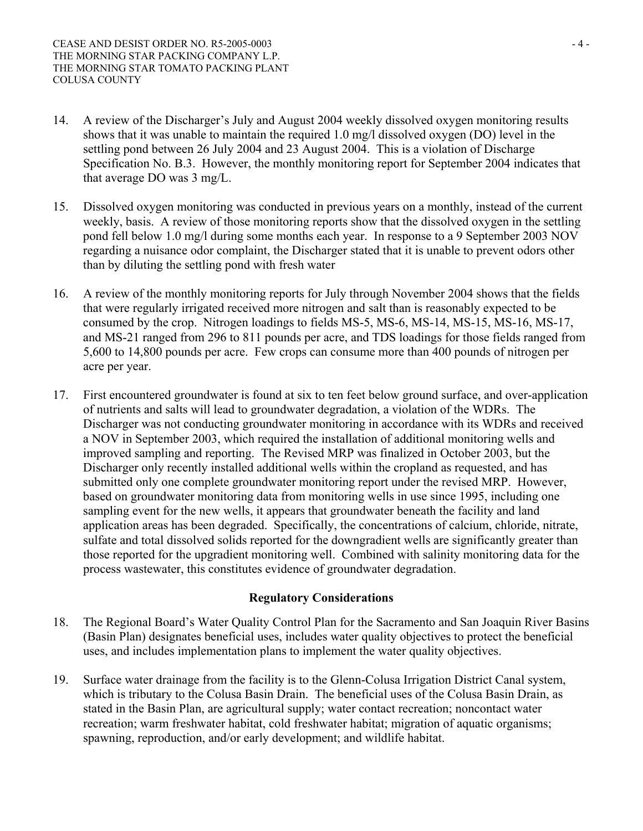- 14. A review of the Discharger's July and August 2004 weekly dissolved oxygen monitoring results shows that it was unable to maintain the required 1.0 mg/l dissolved oxygen (DO) level in the settling pond between 26 July 2004 and 23 August 2004. This is a violation of Discharge Specification No. B.3. However, the monthly monitoring report for September 2004 indicates that that average DO was 3 mg/L.
- 15. Dissolved oxygen monitoring was conducted in previous years on a monthly, instead of the current weekly, basis. A review of those monitoring reports show that the dissolved oxygen in the settling pond fell below 1.0 mg/l during some months each year. In response to a 9 September 2003 NOV regarding a nuisance odor complaint, the Discharger stated that it is unable to prevent odors other than by diluting the settling pond with fresh water
- 16. A review of the monthly monitoring reports for July through November 2004 shows that the fields that were regularly irrigated received more nitrogen and salt than is reasonably expected to be consumed by the crop. Nitrogen loadings to fields MS-5, MS-6, MS-14, MS-15, MS-16, MS-17, and MS-21 ranged from 296 to 811 pounds per acre, and TDS loadings for those fields ranged from 5,600 to 14,800 pounds per acre. Few crops can consume more than 400 pounds of nitrogen per acre per year.
- 17. First encountered groundwater is found at six to ten feet below ground surface, and over-application of nutrients and salts will lead to groundwater degradation, a violation of the WDRs. The Discharger was not conducting groundwater monitoring in accordance with its WDRs and received a NOV in September 2003, which required the installation of additional monitoring wells and improved sampling and reporting. The Revised MRP was finalized in October 2003, but the Discharger only recently installed additional wells within the cropland as requested, and has submitted only one complete groundwater monitoring report under the revised MRP. However, based on groundwater monitoring data from monitoring wells in use since 1995, including one sampling event for the new wells, it appears that groundwater beneath the facility and land application areas has been degraded. Specifically, the concentrations of calcium, chloride, nitrate, sulfate and total dissolved solids reported for the downgradient wells are significantly greater than those reported for the upgradient monitoring well. Combined with salinity monitoring data for the process wastewater, this constitutes evidence of groundwater degradation.

## **Regulatory Considerations**

- 18. The Regional Board's Water Quality Control Plan for the Sacramento and San Joaquin River Basins (Basin Plan) designates beneficial uses, includes water quality objectives to protect the beneficial uses, and includes implementation plans to implement the water quality objectives.
- 19. Surface water drainage from the facility is to the Glenn-Colusa Irrigation District Canal system, which is tributary to the Colusa Basin Drain. The beneficial uses of the Colusa Basin Drain, as stated in the Basin Plan, are agricultural supply; water contact recreation; noncontact water recreation; warm freshwater habitat, cold freshwater habitat; migration of aquatic organisms; spawning, reproduction, and/or early development; and wildlife habitat.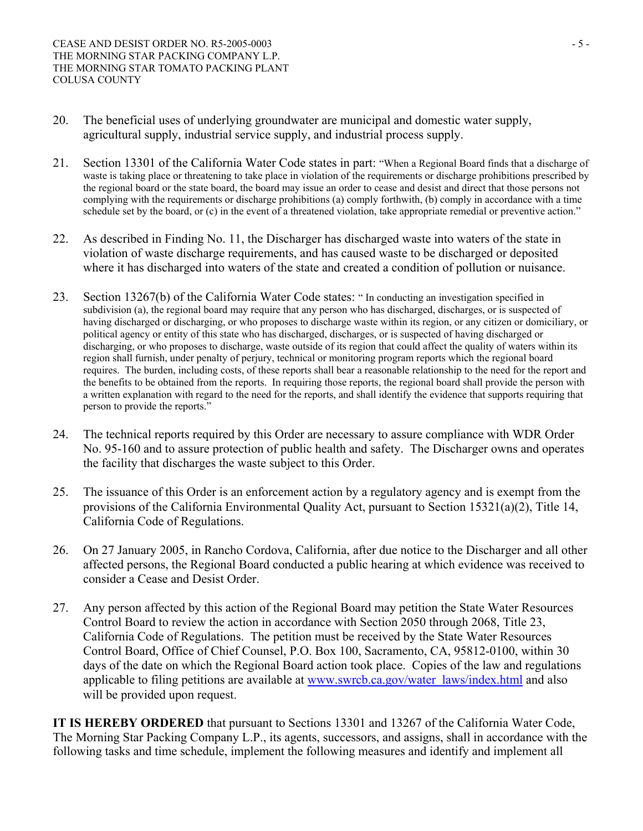- 20. The beneficial uses of underlying groundwater are municipal and domestic water supply, agricultural supply, industrial service supply, and industrial process supply.
- 21. Section 13301 of the California Water Code states in part: "When a Regional Board finds that a discharge of waste is taking place or threatening to take place in violation of the requirements or discharge prohibitions prescribed by the regional board or the state board, the board may issue an order to cease and desist and direct that those persons not complying with the requirements or discharge prohibitions (a) comply forthwith, (b) comply in accordance with a time schedule set by the board, or (c) in the event of a threatened violation, take appropriate remedial or preventive action."
- 22. As described in Finding No. 11, the Discharger has discharged waste into waters of the state in violation of waste discharge requirements, and has caused waste to be discharged or deposited where it has discharged into waters of the state and created a condition of pollution or nuisance.
- 23. Section 13267(b) of the California Water Code states: " In conducting an investigation specified in subdivision (a), the regional board may require that any person who has discharged, discharges, or is suspected of having discharged or discharging, or who proposes to discharge waste within its region, or any citizen or domiciliary, or political agency or entity of this state who has discharged, discharges, or is suspected of having discharged or discharging, or who proposes to discharge, waste outside of its region that could affect the quality of waters within its region shall furnish, under penalty of perjury, technical or monitoring program reports which the regional board requires. The burden, including costs, of these reports shall bear a reasonable relationship to the need for the report and the benefits to be obtained from the reports. In requiring those reports, the regional board shall provide the person with a written explanation with regard to the need for the reports, and shall identify the evidence that supports requiring that person to provide the reports."
- 24. The technical reports required by this Order are necessary to assure compliance with WDR Order No. 95-160 and to assure protection of public health and safety. The Discharger owns and operates the facility that discharges the waste subject to this Order.
- 25. The issuance of this Order is an enforcement action by a regulatory agency and is exempt from the provisions of the California Environmental Quality Act, pursuant to Section 15321(a)(2), Title 14, California Code of Regulations.
- 26. On 27 January 2005, in Rancho Cordova, California, after due notice to the Discharger and all other affected persons, the Regional Board conducted a public hearing at which evidence was received to consider a Cease and Desist Order.
- 27. Any person affected by this action of the Regional Board may petition the State Water Resources Control Board to review the action in accordance with Section 2050 through 2068, Title 23, California Code of Regulations. The petition must be received by the State Water Resources Control Board, Office of Chief Counsel, P.O. Box 100, Sacramento, CA, 95812-0100, within 30 days of the date on which the Regional Board action took place. Copies of the law and regulations applicable to filing petitions are available at www.swrcb.ca.gov/water\_laws/index.html and also will be provided upon request.

**IT IS HEREBY ORDERED** that pursuant to Sections 13301 and 13267 of the California Water Code, The Morning Star Packing Company L.P., its agents, successors, and assigns, shall in accordance with the following tasks and time schedule, implement the following measures and identify and implement all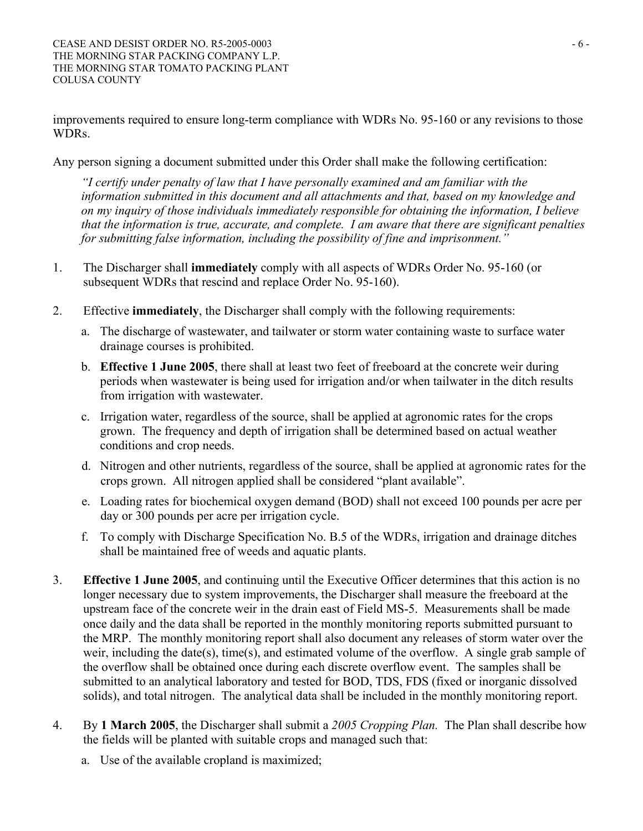improvements required to ensure long-term compliance with WDRs No. 95-160 or any revisions to those WDRs.

Any person signing a document submitted under this Order shall make the following certification:

*"I certify under penalty of law that I have personally examined and am familiar with the information submitted in this document and all attachments and that, based on my knowledge and on my inquiry of those individuals immediately responsible for obtaining the information, I believe that the information is true, accurate, and complete. I am aware that there are significant penalties for submitting false information, including the possibility of fine and imprisonment."* 

- 1. The Discharger shall **immediately** comply with all aspects of WDRs Order No. 95-160 (or subsequent WDRs that rescind and replace Order No. 95-160).
- 2. Effective **immediately**, the Discharger shall comply with the following requirements:
	- a. The discharge of wastewater, and tailwater or storm water containing waste to surface water drainage courses is prohibited.
	- b. **Effective 1 June 2005**, there shall at least two feet of freeboard at the concrete weir during periods when wastewater is being used for irrigation and/or when tailwater in the ditch results from irrigation with wastewater.
	- c. Irrigation water, regardless of the source, shall be applied at agronomic rates for the crops grown. The frequency and depth of irrigation shall be determined based on actual weather conditions and crop needs.
	- d. Nitrogen and other nutrients, regardless of the source, shall be applied at agronomic rates for the crops grown. All nitrogen applied shall be considered "plant available".
	- e. Loading rates for biochemical oxygen demand (BOD) shall not exceed 100 pounds per acre per day or 300 pounds per acre per irrigation cycle.
	- f. To comply with Discharge Specification No. B.5 of the WDRs, irrigation and drainage ditches shall be maintained free of weeds and aquatic plants.
- 3. **Effective 1 June 2005**, and continuing until the Executive Officer determines that this action is no longer necessary due to system improvements, the Discharger shall measure the freeboard at the upstream face of the concrete weir in the drain east of Field MS-5. Measurements shall be made once daily and the data shall be reported in the monthly monitoring reports submitted pursuant to the MRP. The monthly monitoring report shall also document any releases of storm water over the weir, including the date(s), time(s), and estimated volume of the overflow. A single grab sample of the overflow shall be obtained once during each discrete overflow event. The samples shall be submitted to an analytical laboratory and tested for BOD, TDS, FDS (fixed or inorganic dissolved solids), and total nitrogen. The analytical data shall be included in the monthly monitoring report.
- 4. By **1 March 2005**, the Discharger shall submit a *2005 Cropping Plan.* The Plan shall describe how the fields will be planted with suitable crops and managed such that:
	- a. Use of the available cropland is maximized;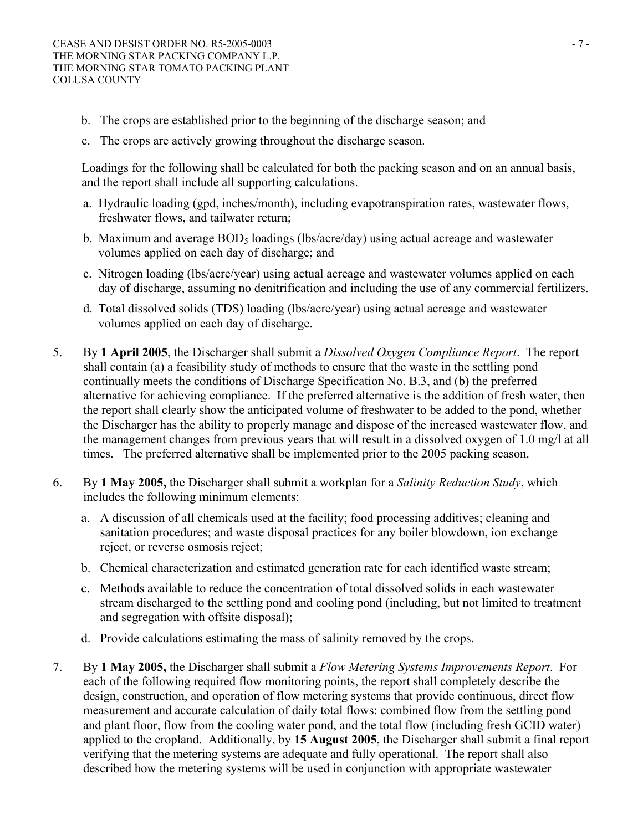- b. The crops are established prior to the beginning of the discharge season; and
- c. The crops are actively growing throughout the discharge season.

Loadings for the following shall be calculated for both the packing season and on an annual basis, and the report shall include all supporting calculations.

- a. Hydraulic loading (gpd, inches/month), including evapotranspiration rates, wastewater flows, freshwater flows, and tailwater return;
- b. Maximum and average  $BOD_5$  loadings (lbs/acre/day) using actual acreage and wastewater volumes applied on each day of discharge; and
- c. Nitrogen loading (lbs/acre/year) using actual acreage and wastewater volumes applied on each day of discharge, assuming no denitrification and including the use of any commercial fertilizers.
- d. Total dissolved solids (TDS) loading (lbs/acre/year) using actual acreage and wastewater volumes applied on each day of discharge.
- 5. By **1 April 2005**, the Discharger shall submit a *Dissolved Oxygen Compliance Report*. The report shall contain (a) a feasibility study of methods to ensure that the waste in the settling pond continually meets the conditions of Discharge Specification No. B.3, and (b) the preferred alternative for achieving compliance. If the preferred alternative is the addition of fresh water, then the report shall clearly show the anticipated volume of freshwater to be added to the pond, whether the Discharger has the ability to properly manage and dispose of the increased wastewater flow, and the management changes from previous years that will result in a dissolved oxygen of 1.0 mg/l at all times. The preferred alternative shall be implemented prior to the 2005 packing season.
- 6. By **1 May 2005,** the Discharger shall submit a workplan for a *Salinity Reduction Study*, which includes the following minimum elements:
	- a. A discussion of all chemicals used at the facility; food processing additives; cleaning and sanitation procedures; and waste disposal practices for any boiler blowdown, ion exchange reject, or reverse osmosis reject;
	- b. Chemical characterization and estimated generation rate for each identified waste stream;
	- c. Methods available to reduce the concentration of total dissolved solids in each wastewater stream discharged to the settling pond and cooling pond (including, but not limited to treatment and segregation with offsite disposal);
	- d. Provide calculations estimating the mass of salinity removed by the crops.
- 7. By **1 May 2005,** the Discharger shall submit a *Flow Metering Systems Improvements Report*. For each of the following required flow monitoring points, the report shall completely describe the design, construction, and operation of flow metering systems that provide continuous, direct flow measurement and accurate calculation of daily total flows: combined flow from the settling pond and plant floor, flow from the cooling water pond, and the total flow (including fresh GCID water) applied to the cropland. Additionally, by **15 August 2005**, the Discharger shall submit a final report verifying that the metering systems are adequate and fully operational. The report shall also described how the metering systems will be used in conjunction with appropriate wastewater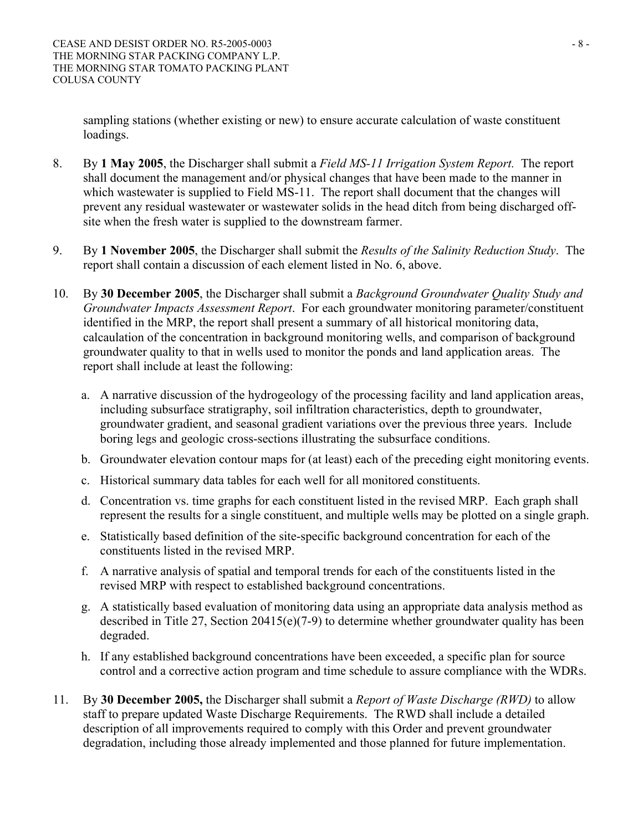sampling stations (whether existing or new) to ensure accurate calculation of waste constituent loadings.

- 8. By **1 May 2005**, the Discharger shall submit a *Field MS-11 Irrigation System Report.* The report shall document the management and/or physical changes that have been made to the manner in which wastewater is supplied to Field MS-11. The report shall document that the changes will prevent any residual wastewater or wastewater solids in the head ditch from being discharged offsite when the fresh water is supplied to the downstream farmer.
- 9. By **1 November 2005**, the Discharger shall submit the *Results of the Salinity Reduction Study*. The report shall contain a discussion of each element listed in No. 6, above.
- 10. By **30 December 2005**, the Discharger shall submit a *Background Groundwater Quality Study and Groundwater Impacts Assessment Report*. For each groundwater monitoring parameter/constituent identified in the MRP, the report shall present a summary of all historical monitoring data, calcaulation of the concentration in background monitoring wells, and comparison of background groundwater quality to that in wells used to monitor the ponds and land application areas. The report shall include at least the following:
	- a. A narrative discussion of the hydrogeology of the processing facility and land application areas, including subsurface stratigraphy, soil infiltration characteristics, depth to groundwater, groundwater gradient, and seasonal gradient variations over the previous three years. Include boring legs and geologic cross-sections illustrating the subsurface conditions.
	- b. Groundwater elevation contour maps for (at least) each of the preceding eight monitoring events.
	- c. Historical summary data tables for each well for all monitored constituents.
	- d. Concentration vs. time graphs for each constituent listed in the revised MRP. Each graph shall represent the results for a single constituent, and multiple wells may be plotted on a single graph.
	- e. Statistically based definition of the site-specific background concentration for each of the constituents listed in the revised MRP.
	- f. A narrative analysis of spatial and temporal trends for each of the constituents listed in the revised MRP with respect to established background concentrations.
	- g. A statistically based evaluation of monitoring data using an appropriate data analysis method as described in Title 27, Section 20415(e)(7-9) to determine whether groundwater quality has been degraded.
	- h. If any established background concentrations have been exceeded, a specific plan for source control and a corrective action program and time schedule to assure compliance with the WDRs.
- 11. By **30 December 2005,** the Discharger shall submit a *Report of Waste Discharge (RWD)* to allow staff to prepare updated Waste Discharge Requirements. The RWD shall include a detailed description of all improvements required to comply with this Order and prevent groundwater degradation, including those already implemented and those planned for future implementation.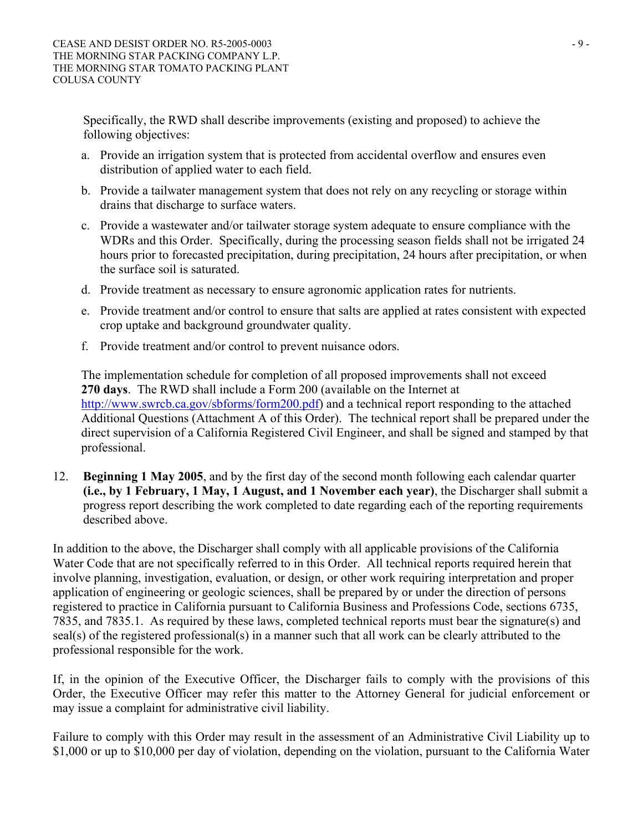Specifically, the RWD shall describe improvements (existing and proposed) to achieve the following objectives:

- a. Provide an irrigation system that is protected from accidental overflow and ensures even distribution of applied water to each field.
- b. Provide a tailwater management system that does not rely on any recycling or storage within drains that discharge to surface waters.
- c. Provide a wastewater and/or tailwater storage system adequate to ensure compliance with the WDRs and this Order. Specifically, during the processing season fields shall not be irrigated 24 hours prior to forecasted precipitation, during precipitation, 24 hours after precipitation, or when the surface soil is saturated.
- d. Provide treatment as necessary to ensure agronomic application rates for nutrients.
- e. Provide treatment and/or control to ensure that salts are applied at rates consistent with expected crop uptake and background groundwater quality.
- f. Provide treatment and/or control to prevent nuisance odors.

The implementation schedule for completion of all proposed improvements shall not exceed **270 days**. The RWD shall include a Form 200 (available on the Internet at http://www.swrcb.ca.gov/sbforms/form200.pdf) and a technical report responding to the attached Additional Questions (Attachment A of this Order). The technical report shall be prepared under the direct supervision of a California Registered Civil Engineer, and shall be signed and stamped by that professional.

12. **Beginning 1 May 2005**, and by the first day of the second month following each calendar quarter **(i.e., by 1 February, 1 May, 1 August, and 1 November each year)**, the Discharger shall submit a progress report describing the work completed to date regarding each of the reporting requirements described above.

In addition to the above, the Discharger shall comply with all applicable provisions of the California Water Code that are not specifically referred to in this Order. All technical reports required herein that involve planning, investigation, evaluation, or design, or other work requiring interpretation and proper application of engineering or geologic sciences, shall be prepared by or under the direction of persons registered to practice in California pursuant to California Business and Professions Code, sections 6735, 7835, and 7835.1. As required by these laws, completed technical reports must bear the signature(s) and seal(s) of the registered professional(s) in a manner such that all work can be clearly attributed to the professional responsible for the work.

If, in the opinion of the Executive Officer, the Discharger fails to comply with the provisions of this Order, the Executive Officer may refer this matter to the Attorney General for judicial enforcement or may issue a complaint for administrative civil liability.

Failure to comply with this Order may result in the assessment of an Administrative Civil Liability up to \$1,000 or up to \$10,000 per day of violation, depending on the violation, pursuant to the California Water